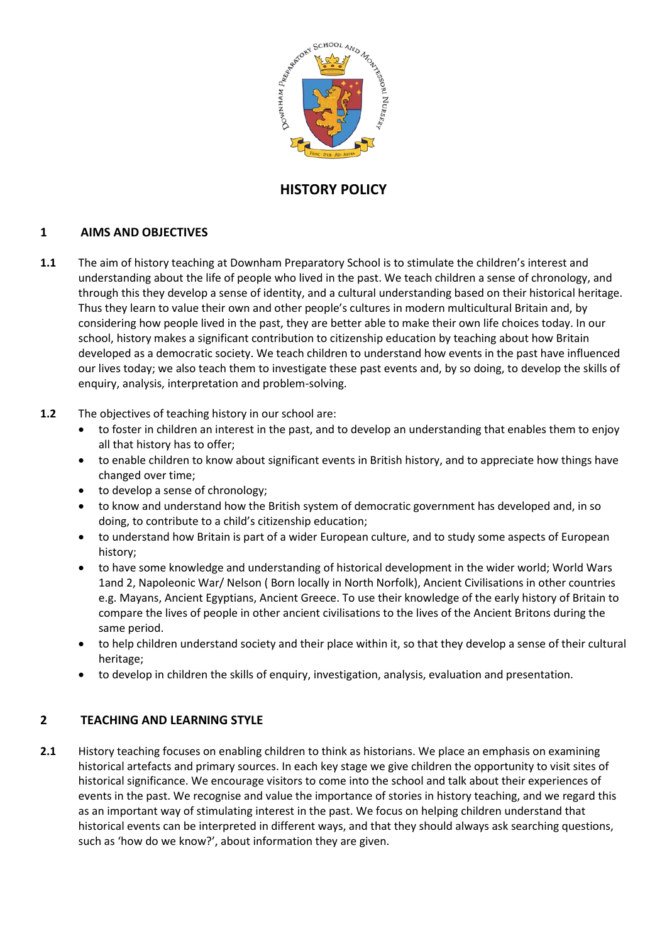

# **HISTORY POLICY**

# **1 AIMS AND OBJECTIVES**

- **1.1** The aim of history teaching at Downham Preparatory School is to stimulate the children's interest and understanding about the life of people who lived in the past. We teach children a sense of chronology, and through this they develop a sense of identity, and a cultural understanding based on their historical heritage. Thus they learn to value their own and other people's cultures in modern multicultural Britain and, by considering how people lived in the past, they are better able to make their own life choices today. In our school, history makes a significant contribution to citizenship education by teaching about how Britain developed as a democratic society. We teach children to understand how events in the past have influenced our lives today; we also teach them to investigate these past events and, by so doing, to develop the skills of enquiry, analysis, interpretation and problem-solving.
- **1.2** The objectives of teaching history in our school are:
	- to foster in children an interest in the past, and to develop an understanding that enables them to enjoy all that history has to offer;
	- to enable children to know about significant events in British history, and to appreciate how things have changed over time;
	- to develop a sense of chronology;
	- to know and understand how the British system of democratic government has developed and, in so doing, to contribute to a child's citizenship education;
	- to understand how Britain is part of a wider European culture, and to study some aspects of European history;
	- to have some knowledge and understanding of historical development in the wider world; World Wars 1and 2, Napoleonic War/ Nelson ( Born locally in North Norfolk), Ancient Civilisations in other countries e.g. Mayans, Ancient Egyptians, Ancient Greece. To use their knowledge of the early history of Britain to compare the lives of people in other ancient civilisations to the lives of the Ancient Britons during the same period.
	- to help children understand society and their place within it, so that they develop a sense of their cultural heritage;
	- to develop in children the skills of enquiry, investigation, analysis, evaluation and presentation.

# **2 TEACHING AND LEARNING STYLE**

**2.1** History teaching focuses on enabling children to think as historians. We place an emphasis on examining historical artefacts and primary sources. In each key stage we give children the opportunity to visit sites of historical significance. We encourage visitors to come into the school and talk about their experiences of events in the past. We recognise and value the importance of stories in history teaching, and we regard this as an important way of stimulating interest in the past. We focus on helping children understand that historical events can be interpreted in different ways, and that they should always ask searching questions, such as 'how do we know?', about information they are given.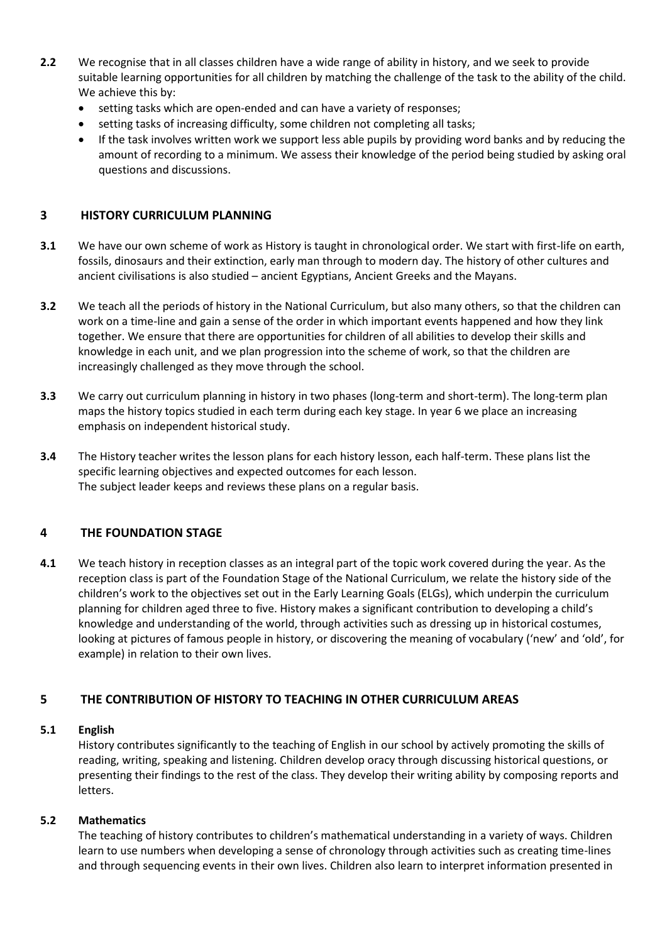- **2.2** We recognise that in all classes children have a wide range of ability in history, and we seek to provide suitable learning opportunities for all children by matching the challenge of the task to the ability of the child. We achieve this by:
	- setting tasks which are open-ended and can have a variety of responses;
	- setting tasks of increasing difficulty, some children not completing all tasks;
	- If the task involves written work we support less able pupils by providing word banks and by reducing the amount of recording to a minimum. We assess their knowledge of the period being studied by asking oral questions and discussions.

## **3 HISTORY CURRICULUM PLANNING**

- **3.1** We have our own scheme of work as History is taught in chronological order. We start with first-life on earth, fossils, dinosaurs and their extinction, early man through to modern day. The history of other cultures and ancient civilisations is also studied – ancient Egyptians, Ancient Greeks and the Mayans.
- **3.2** We teach all the periods of history in the National Curriculum, but also many others, so that the children can work on a time-line and gain a sense of the order in which important events happened and how they link together. We ensure that there are opportunities for children of all abilities to develop their skills and knowledge in each unit, and we plan progression into the scheme of work, so that the children are increasingly challenged as they move through the school.
- **3.3** We carry out curriculum planning in history in two phases (long-term and short-term). The long-term plan maps the history topics studied in each term during each key stage. In year 6 we place an increasing emphasis on independent historical study.
- **3.4** The History teacher writes the lesson plans for each history lesson, each half-term. These plans list the specific learning objectives and expected outcomes for each lesson. The subject leader keeps and reviews these plans on a regular basis.

## **4 THE FOUNDATION STAGE**

**4.1** We teach history in reception classes as an integral part of the topic work covered during the year. As the reception class is part of the Foundation Stage of the National Curriculum, we relate the history side of the children's work to the objectives set out in the Early Learning Goals (ELGs), which underpin the curriculum planning for children aged three to five. History makes a significant contribution to developing a child's knowledge and understanding of the world, through activities such as dressing up in historical costumes, looking at pictures of famous people in history, or discovering the meaning of vocabulary ('new' and 'old', for example) in relation to their own lives.

# **5 THE CONTRIBUTION OF HISTORY TO TEACHING IN OTHER CURRICULUM AREAS**

#### **5.1 English**

History contributes significantly to the teaching of English in our school by actively promoting the skills of reading, writing, speaking and listening. Children develop oracy through discussing historical questions, or presenting their findings to the rest of the class. They develop their writing ability by composing reports and letters.

#### **5.2 Mathematics**

The teaching of history contributes to children's mathematical understanding in a variety of ways. Children learn to use numbers when developing a sense of chronology through activities such as creating time-lines and through sequencing events in their own lives. Children also learn to interpret information presented in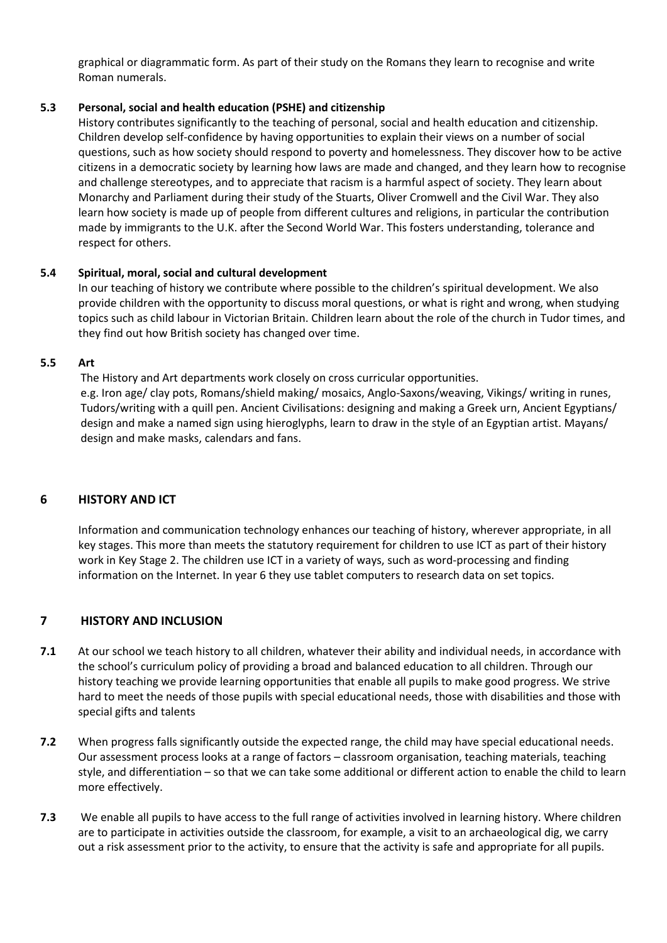graphical or diagrammatic form. As part of their study on the Romans they learn to recognise and write Roman numerals.

#### **5.3 Personal, social and health education (PSHE) and citizenship**

History contributes significantly to the teaching of personal, social and health education and citizenship. Children develop self-confidence by having opportunities to explain their views on a number of social questions, such as how society should respond to poverty and homelessness. They discover how to be active citizens in a democratic society by learning how laws are made and changed, and they learn how to recognise and challenge stereotypes, and to appreciate that racism is a harmful aspect of society. They learn about Monarchy and Parliament during their study of the Stuarts, Oliver Cromwell and the Civil War. They also learn how society is made up of people from different cultures and religions, in particular the contribution made by immigrants to the U.K. after the Second World War. This fosters understanding, tolerance and respect for others.

#### **5.4 Spiritual, moral, social and cultural development**

In our teaching of history we contribute where possible to the children's spiritual development. We also provide children with the opportunity to discuss moral questions, or what is right and wrong, when studying topics such as child labour in Victorian Britain. Children learn about the role of the church in Tudor times, and they find out how British society has changed over time.

#### **5.5 Art**

The History and Art departments work closely on cross curricular opportunities. e.g. Iron age/ clay pots, Romans/shield making/ mosaics, Anglo-Saxons/weaving, Vikings/ writing in runes, Tudors/writing with a quill pen. Ancient Civilisations: designing and making a Greek urn, Ancient Egyptians/ design and make a named sign using hieroglyphs, learn to draw in the style of an Egyptian artist. Mayans/ design and make masks, calendars and fans.

#### **6 HISTORY AND ICT**

Information and communication technology enhances our teaching of history, wherever appropriate, in all key stages. This more than meets the statutory requirement for children to use ICT as part of their history work in Key Stage 2. The children use ICT in a variety of ways, such as word-processing and finding information on the Internet. In year 6 they use tablet computers to research data on set topics.

## **7 HISTORY AND INCLUSION**

- **7.1** At our school we teach history to all children, whatever their ability and individual needs, in accordance with the school's curriculum policy of providing a broad and balanced education to all children. Through our history teaching we provide learning opportunities that enable all pupils to make good progress. We strive hard to meet the needs of those pupils with special educational needs, those with disabilities and those with special gifts and talents
- **7.2** When progress falls significantly outside the expected range, the child may have special educational needs. Our assessment process looks at a range of factors – classroom organisation, teaching materials, teaching style, and differentiation – so that we can take some additional or different action to enable the child to learn more effectively.
- **7.3** We enable all pupils to have access to the full range of activities involved in learning history. Where children are to participate in activities outside the classroom, for example, a visit to an archaeological dig, we carry out a risk assessment prior to the activity, to ensure that the activity is safe and appropriate for all pupils.